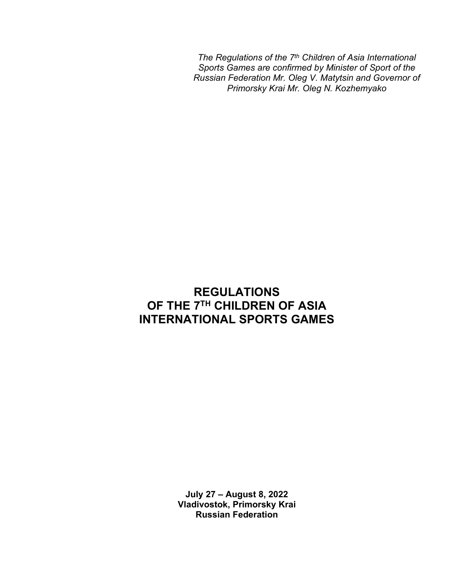*The Regulations of the 7th Children of Asia International Sports Games are confirmed by Minister of Sport of the Russian Federation Mr. Oleg V. Matytsin and Governor of Primorsky Krai Mr. Oleg N. Kozhemyako*

# **REGULATIONS OF THE 7TH CHILDREN OF ASIA INTERNATIONAL SPORTS GAMES**

**July 27 – August 8, 2022 Vladivostok, Primorsky Krai Russian Federation**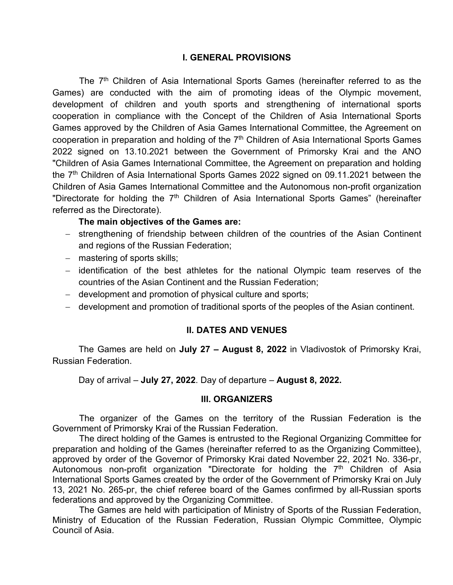### **I. GENERAL PROVISIONS**

The  $7<sup>th</sup>$  Children of Asia International Sports Games (hereinafter referred to as the Games) are conducted with the aim of promoting ideas of the Olympic movement, development of children and youth sports and strengthening of international sports cooperation in compliance with the Concept of the Children of Asia International Sports Games approved by the Children of Asia Games International Committee, the Agreement on cooperation in preparation and holding of the 7<sup>th</sup> Children of Asia International Sports Games 2022 signed on 13.10.2021 between the Government of Primorsky Krai and the ANO "Children of Asia Games International Committee, the Agreement on preparation and holding the 7<sup>th</sup> Children of Asia International Sports Games 2022 signed on 09.11.2021 between the Children of Asia Games International Committee and the Autonomous non-profit organization "Directorate for holding the 7<sup>th</sup> Children of Asia International Sports Games" (hereinafter referred as the Directorate).

#### **The main objectives of the Games are:**

- − strengthening of friendship between children of the countries of the Asian Continent and regions of the Russian Federation;
- − mastering of sports skills;
- − identification of the best athletes for the national Olympic team reserves of the countries of the Asian Continent and the Russian Federation;
- − development and promotion of physical culture and sports;
- − development and promotion of traditional sports of the peoples of the Asian continent.

#### **II. DATES AND VENUES**

The Games are held on **July 27 – August 8, 2022** in Vladivostok of Primorsky Krai, Russian Federation.

Day of arrival – **July 27, 2022**. Day of departure – **August 8, 2022.**

#### **III. ORGANIZERS**

The organizer of the Games on the territory of the Russian Federation is the Government of Primorsky Krai of the Russian Federation.

The direct holding of the Games is entrusted to the Regional Organizing Committee for preparation and holding of the Games (hereinafter referred to as the Organizing Committee), approved by order of the Governor of Primorsky Krai dated November 22, 2021 No. 336-рг, Autonomous non-profit organization "Directorate for holding the 7<sup>th</sup> Children of Asia International Sports Games created by the order of the Government of Primorsky Krai on July 13, 2021 No. 265-рг, the chief referee board of the Games confirmed by all-Russian sports federations and approved by the Organizing Committee.

The Games are held with participation of Ministry of Sports of the Russian Federation, Ministry of Education of the Russian Federation, Russian Olympic Committee, Olympic Council of Asia.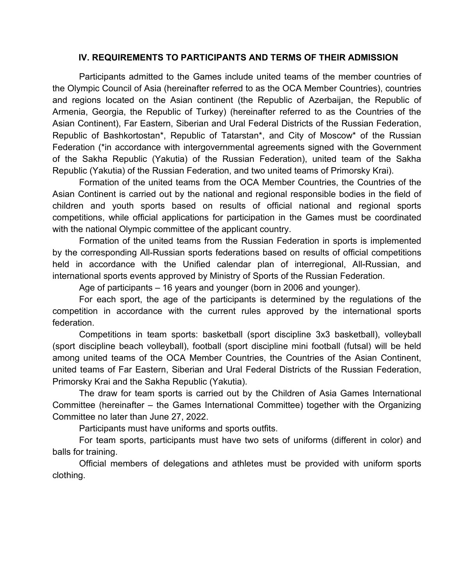### **IV. REQUIREMENTS TO PARTICIPANTS AND TERMS OF THEIR ADMISSION**

Participants admitted to the Games include united teams of the member countries of the Olympic Council of Asia (hereinafter referred to as the OCA Member Countries), countries and regions located on the Asian continent (the Republic of Azerbaijan, the Republic of Armenia, Georgia, the Republic of Turkey) (hereinafter referred to as the Countries of the Asian Continent), Far Eastern, Siberian and Ural Federal Districts of the Russian Federation, Republic of Bashkortostan\*, Republic of Tatarstan\*, and City of Moscow\* of the Russian Federation (\*in accordance with intergovernmental agreements signed with the Government of the Sakha Republic (Yakutia) of the Russian Federation), united team of the Sakha Republic (Yakutia) of the Russian Federation, and two united teams of Primorsky Krai).

Formation of the united teams from the OCA Member Countries, the Countries of the Asian Continent is carried out by the national and regional responsible bodies in the field of children and youth sports based on results of official national and regional sports competitions, while official applications for participation in the Games must be coordinated with the national Olympic committee of the applicant country.

Formation of the united teams from the Russian Federation in sports is implemented by the corresponding All-Russian sports federations based on results of official competitions held in accordance with the Unified calendar plan of interregional, All-Russian, and international sports events approved by Ministry of Sports of the Russian Federation.

Age of participants – 16 years and younger (born in 2006 and younger).

For each sport, the age of the participants is determined by the regulations of the competition in accordance with the current rules approved by the international sports federation.

Competitions in team sports: basketball (sport discipline 3x3 basketball), volleyball (sport discipline beach volleyball), football (sport discipline mini football (futsal) will be held among united teams of the OCA Member Countries, the Countries of the Asian Continent, united teams of Far Eastern, Siberian and Ural Federal Districts of the Russian Federation, Primorsky Krai and the Sakha Republic (Yakutia).

The draw for team sports is carried out by the Children of Asia Games International Committee (hereinafter – the Games International Committee) together with the Organizing Committee no later than June 27, 2022.

Participants must have uniforms and sports outfits.

For team sports, participants must have two sets of uniforms (different in color) and balls for training.

Official members of delegations and athletes must be provided with uniform sports clothing.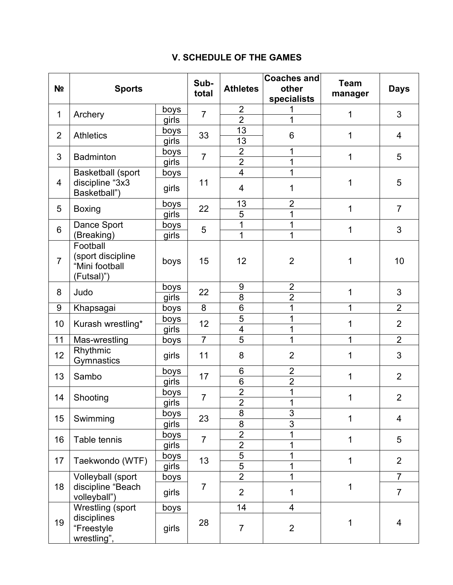## **V. SCHEDULE OF THE GAMES**

| N <sub>2</sub> | <b>Sports</b>                                                 |       | Sub-<br>total  | <b>Athletes</b>         | <b>Coaches and</b><br>other<br>specialists | <b>Team</b><br>manager | <b>Days</b>    |
|----------------|---------------------------------------------------------------|-------|----------------|-------------------------|--------------------------------------------|------------------------|----------------|
| $\mathbf 1$    | Archery                                                       | boys  | $\overline{7}$ | $\overline{2}$          |                                            | 1                      |                |
|                |                                                               | girls |                | $\overline{2}$          | 1                                          |                        | 3              |
| $\overline{2}$ | <b>Athletics</b>                                              | boys  | 33             | 13                      | 6                                          | 1                      | 4              |
|                |                                                               | girls |                | 13                      |                                            |                        |                |
| 3              | <b>Badminton</b>                                              | boys  | $\overline{7}$ | $\overline{2}$          | 1                                          | 1                      | 5              |
|                |                                                               | girls |                | $\overline{2}$          | 1                                          |                        |                |
|                | <b>Basketball (sport</b>                                      | boys  |                | $\overline{\mathbf{4}}$ | 1                                          |                        |                |
| $\overline{4}$ | discipline "3x3<br>Basketball")                               | girls | 11             | 4                       | 1                                          | 1                      | 5              |
| 5              | <b>Boxing</b>                                                 | boys  | 22             | 13                      | $\overline{2}$                             | 1                      | $\overline{7}$ |
|                |                                                               | girls |                | 5                       | 1                                          |                        |                |
| 6              | Dance Sport                                                   | boys  |                | 1                       | 1                                          | 1                      | 3              |
|                | (Breaking)                                                    | girls | 5              | 1                       | 1                                          |                        |                |
| $\overline{7}$ | Football<br>(sport discipline<br>"Mini football<br>(Futsal)") | boys  | 15             | 12                      | $\overline{2}$                             | 1                      | 10             |
| 8              | Judo                                                          | boys  | 22             | 9                       | $\overline{2}$                             | 1                      | 3              |
|                |                                                               | girls |                | $\overline{8}$          | $\overline{2}$                             |                        |                |
| 9              | Khapsagai                                                     | boys  | 8              | 6                       | 1                                          | 1                      | $\overline{2}$ |
| 10             | Kurash wrestling*                                             | boys  | 12             | 5                       | 1                                          | 1                      | $\overline{2}$ |
|                |                                                               | girls |                | $\overline{4}$          | 1                                          |                        |                |
| 11             | Mas-wrestling                                                 | boys  | $\overline{7}$ | $\overline{5}$          | 1                                          | 1                      | $\overline{2}$ |
| 12             | Rhythmic<br>Gymnastics                                        | girls | 11             | 8                       | $\overline{2}$                             | 1                      | 3              |
| 13             | Sambo                                                         | boys  | 17             | 6                       | $\overline{2}$                             | 1                      | $\overline{2}$ |
|                |                                                               | girls |                | 6                       | $\overline{2}$                             |                        |                |
| 14             | Shooting                                                      | boys  | $\overline{7}$ | $\overline{2}$          | 1                                          | 1                      | $\overline{2}$ |
|                |                                                               | girls |                | $\overline{2}$          | $\mathbf 1$                                |                        |                |
| 15             | Swimming                                                      | boys  | 23             | 8                       | $\overline{3}$                             | 1                      | $\overline{4}$ |
|                |                                                               | girls |                | $\overline{8}$          | $\overline{3}$                             |                        |                |
| 16             | Table tennis                                                  | boys  | $\overline{7}$ | $\overline{2}$          | 1                                          | 1                      | 5              |
|                |                                                               | girls |                | $\overline{2}$          | 1                                          |                        |                |
| 17             | Taekwondo (WTF)                                               | boys  | 13             | $\overline{5}$          | 1                                          | $\mathbf 1$            | $\overline{2}$ |
|                |                                                               | girls |                | $\overline{5}$          | 1                                          |                        |                |
|                | Volleyball (sport                                             | boys  | $\overline{7}$ | $\overline{2}$          | 1                                          | 1                      | $\overline{7}$ |
| 18             | discipline "Beach<br>volleyball")                             | girls |                | $\overline{2}$          | 1                                          |                        | $\overline{7}$ |
|                | Wrestling (sport                                              | boys  |                | 14                      | $\overline{4}$                             |                        |                |
| 19             | disciplines<br>"Freestyle<br>wrestling",                      | girls | 28             | $\overline{7}$          | $\overline{2}$                             | 1                      | 4              |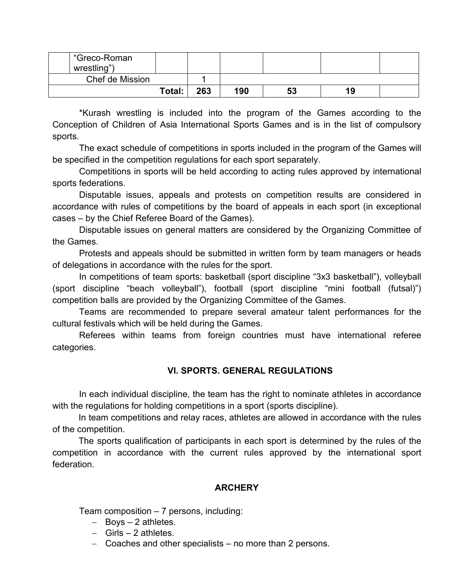| "Greco-Roman<br>wrestling") |        |     |     |    |  |
|-----------------------------|--------|-----|-----|----|--|
| Chef de Mission             |        |     |     |    |  |
|                             | Total: | 263 | 190 | 53 |  |

\*Kurash wrestling is included into the program of the Games according to the Conception of Children of Asia International Sports Games and is in the list of compulsory sports.

The exact schedule of competitions in sports included in the program of the Games will be specified in the competition regulations for each sport separately.

Competitions in sports will be held according to acting rules approved by international sports federations.

Disputable issues, appeals and protests on competition results are considered in accordance with rules of competitions by the board of appeals in each sport (in exceptional cases – by the Chief Referee Board of the Games).

Disputable issues on general matters are considered by the Organizing Committee of the Games.

Protests and appeals should be submitted in written form by team managers or heads of delegations in accordance with the rules for the sport.

In competitions of team sports: basketball (sport discipline "3x3 basketball"), volleyball (sport discipline "beach volleyball"), football (sport discipline "mini football (futsal)") competition balls are provided by the Organizing Committee of the Games.

Teams are recommended to prepare several amateur talent performances for the cultural festivals which will be held during the Games.

Referees within teams from foreign countries must have international referee categories.

### **VI. SPORTS. GENERAL REGULATIONS**

In each individual discipline, the team has the right to nominate athletes in accordance with the regulations for holding competitions in a sport (sports discipline).

In team competitions and relay races, athletes are allowed in accordance with the rules of the competition.

The sports qualification of participants in each sport is determined by the rules of the competition in accordance with the current rules approved by the international sport federation.

### **ARCHERY**

Team composition – 7 persons, including:

- − Boys 2 athletes.
- − Girls 2 athletes.
- − Coaches and other specialists no more than 2 persons.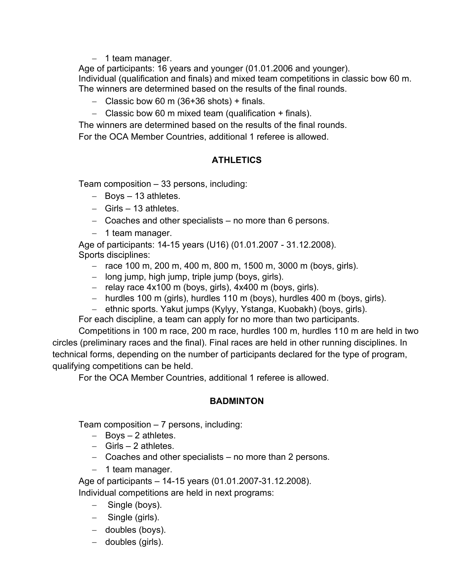− 1 team manager.

Age of participants: 16 years and younger (01.01.2006 and younger). Individual (qualification and finals) and mixed team competitions in classic bow 60 m. The winners are determined based on the results of the final rounds.

- − Classic bow 60 m (36+36 shots) + finals.
- − Classic bow 60 m mixed team (qualification + finals).

The winners are determined based on the results of the final rounds.

For the OCA Member Countries, additional 1 referee is allowed.

### **ATHLETICS**

Team composition – 33 persons, including:

- − Boys 13 athletes.
- − Girls 13 athletes.
- − Coaches and other specialists no more than 6 persons.
- − 1 team manager.

Age of participants: 14-15 years (U16) (01.01.2007 - 31.12.2008). Sports disciplines:

- − race 100 m, 200 m, 400 m, 800 m, 1500 m, 3000 m (boys, girls).
- − long jump, high jump, triple jump (boys, girls).
- − relay race 4x100 m (boys, girls), 4x400 m (boys, girls).
- − hurdles 100 m (girls), hurdles 110 m (boys), hurdles 400 m (boys, girls).
- − ethnic sports. Yakut jumps (Kylyy, Ystanga, Kuobakh) (boys, girls).

For each discipline, a team can apply for no more than two participants.

Competitions in 100 m race, 200 m race, hurdles 100 m, hurdles 110 m are held in two circles (preliminary races and the final). Final races are held in other running disciplines. In technical forms, depending on the number of participants declared for the type of program, qualifying competitions can be held.

For the OCA Member Countries, additional 1 referee is allowed.

### **BADMINTON**

Team composition – 7 persons, including:

- − Boys 2 athletes.
- − Girls 2 athletes.
- − Coaches and other specialists no more than 2 persons.
- − 1 team manager.

Age of participants – 14-15 years (01.01.2007-31.12.2008).

Individual competitions are held in next programs:

- − Single (boys).
- − Single (girls).
- − doubles (boys).
- − doubles (girls).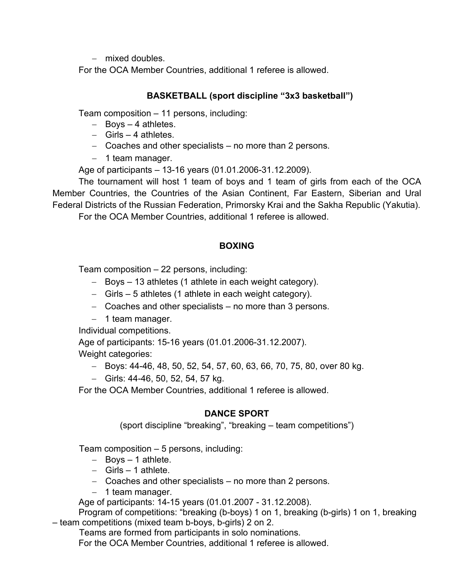− mixed doubles.

For the OCA Member Countries, additional 1 referee is allowed.

### **BASKETBALL (sport discipline "3x3 basketball")**

Team composition – 11 persons, including:

- − Boys 4 athletes.
- − Girls 4 athletes.
- − Coaches and other specialists no more than 2 persons.
- − 1 team manager.

Age of participants – 13-16 years (01.01.2006-31.12.2009).

The tournament will host 1 team of boys and 1 team of girls from each of the OCA Member Countries, the Countries of the Asian Continent, Far Eastern, Siberian and Ural Federal Districts of the Russian Federation, Primorsky Krai and the Sakha Republic (Yakutia).

For the OCA Member Countries, additional 1 referee is allowed.

### **BOXING**

Team composition – 22 persons, including:

- − Boys 13 athletes (1 athlete in each weight category).
- − Girls 5 athletes (1 athlete in each weight category).
- − Coaches and other specialists no more than 3 persons.
- − 1 team manager.

Individual competitions.

Age of participants: 15-16 years (01.01.2006-31.12.2007).

Weight categories:

- − Boys: 44-46, 48, 50, 52, 54, 57, 60, 63, 66, 70, 75, 80, over 80 kg.
- − Girls: 44-46, 50, 52, 54, 57 kg.

For the OCA Member Countries, additional 1 referee is allowed.

### **DANCE SPORT**

(sport discipline "breaking", "breaking – team competitions")

Team composition – 5 persons, including:

- − Boys 1 athlete.
- − Girls 1 athlete.
- − Coaches and other specialists no more than 2 persons.
- − 1 team manager.

Age of participants: 14-15 years (01.01.2007 - 31.12.2008).

Program of competitions: "breaking (b-boys) 1 on 1, breaking (b-girls) 1 on 1, breaking – team competitions (mixed team b-boys, b-girls) 2 on 2.

Teams are formed from participants in solo nominations.

For the OCA Member Countries, additional 1 referee is allowed.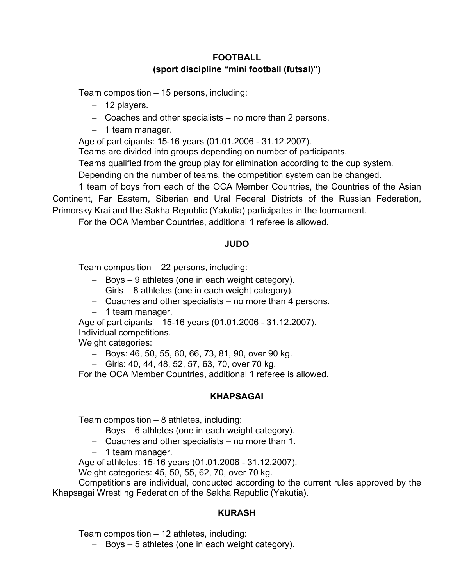### **FOOTBALL (sport discipline "mini football (futsal)")**

Team composition – 15 persons, including:

- − 12 players.
- − Coaches and other specialists no more than 2 persons.
- − 1 team manager.

Age of participants: 15-16 years (01.01.2006 - 31.12.2007).

Teams are divided into groups depending on number of participants.

Teams qualified from the group play for elimination according to the cup system.

Depending on the number of teams, the competition system can be changed.

1 team of boys from each of the OCA Member Countries, the Countries of the Asian Continent, Far Eastern, Siberian and Ural Federal Districts of the Russian Federation, Primorsky Krai and the Sakha Republic (Yakutia) participates in the tournament.

For the OCA Member Countries, additional 1 referee is allowed.

### **JUDO**

Team composition – 22 persons, including:

- − Boys 9 athletes (one in each weight category).
- − Girls 8 athletes (one in each weight category).
- − Coaches and other specialists no more than 4 persons.
- − 1 team manager.

Age of participants – 15-16 years (01.01.2006 - 31.12.2007).

Individual competitions.

Weight categories:

- − Boys: 46, 50, 55, 60, 66, 73, 81, 90, over 90 kg.
- − Girls: 40, 44, 48, 52, 57, 63, 70, over 70 kg.

For the OCA Member Countries, additional 1 referee is allowed.

### **KHAPSAGAI**

Team composition – 8 athletes, including:

- − Boys 6 athletes (one in each weight category).
- − Coaches and other specialists no more than 1.
- − 1 team manager.

Age of athletes: 15-16 years (01.01.2006 - 31.12.2007).

Weight categories: 45, 50, 55, 62, 70, over 70 kg.

Competitions are individual, conducted according to the current rules approved by the Khapsagai Wrestling Federation of the Sakha Republic (Yakutia).

### **KURASH**

Team composition – 12 athletes, including:

− Boys – 5 athletes (one in each weight category).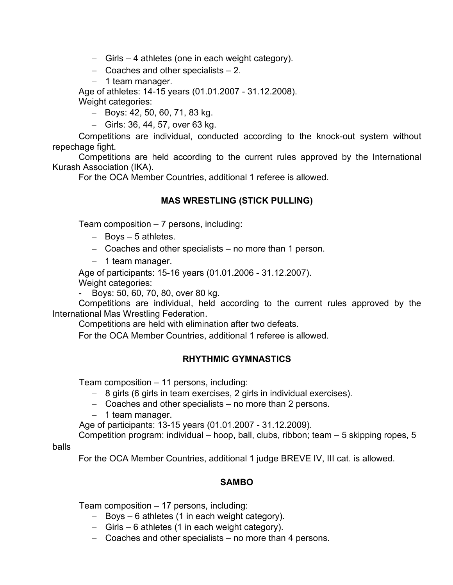- − Girls 4 athletes (one in each weight category).
- − Coaches and other specialists 2.
- − 1 team manager.

Age of athletes: 14-15 years (01.01.2007 - 31.12.2008). Weight categories:

− Boys: 42, 50, 60, 71, 83 kg.

− Girls: 36, 44, 57, over 63 kg.

Competitions are individual, conducted according to the knock-out system without repechage fight.

Competitions are held according to the current rules approved by the International Kurash Association (IKA).

For the OCA Member Countries, additional 1 referee is allowed.

### **MAS WRESTLING (STICK PULLING)**

Team composition – 7 persons, including:

- − Boys 5 athletes.
- − Coaches and other specialists no more than 1 person.
- − 1 team manager.

Age of participants: 15-16 years (01.01.2006 - 31.12.2007).

Weight categories:

- Boys: 50, 60, 70, 80, over 80 kg.

Competitions are individual, held according to the current rules approved by the International Mas Wrestling Federation.

Competitions are held with elimination after two defeats.

For the OCA Member Countries, additional 1 referee is allowed.

### **RHYTHMIC GYMNASTICS**

Team composition – 11 persons, including:

- − 8 girls (6 girls in team exercises, 2 girls in individual exercises).
- − Coaches and other specialists no more than 2 persons.
- − 1 team manager.

Age of participants: 13-15 years (01.01.2007 - 31.12.2009).

Competition program: individual – hoop, ball, clubs, ribbon; team – 5 skipping ropes, 5

balls

For the OCA Member Countries, additional 1 judge BREVE IV, III cat. is allowed.

### **SAMBO**

Team composition – 17 persons, including:

- − Boys 6 athletes (1 in each weight category).
- − Girls 6 athletes (1 in each weight category).
- − Coaches and other specialists no more than 4 persons.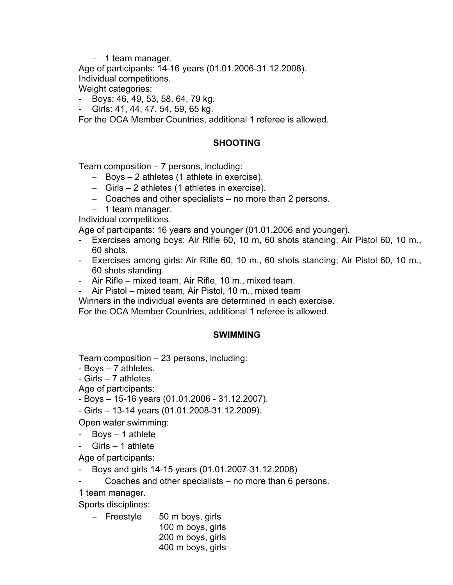− 1 team manager.

Age of participants: 14-16 years (01.01.2006-31.12.2008).

Individual competitions.

Weight categories:

- Boys: 46, 49, 53, 58, 64, 79 kg.

- Girls: 41, 44, 47, 54, 59, 65 kg.

For the OCA Member Countries, additional 1 referee is allowed.

### **SHOOTING**

Team composition – 7 persons, including:

- − Boys 2 athletes (1 athlete in exercise).
- − Girls 2 athletes (1 athletes in exercise).
- − Coaches and other specialists no more than 2 persons.
- − 1 team manager.

Individual competitions.

Age of participants: 16 years and younger (01.01.2006 and younger).

- Exercises among boys: Air Rifle 60, 10 m, 60 shots standing; Air Pistol 60, 10 m., 60 shots.
- Exercises among girls: Air Rifle 60, 10 m., 60 shots standing; Air Pistol 60, 10 m., 60 shots standing.
- Air Rifle mixed team, Air Rifle, 10 m., mixed team.
- Air Pistol mixed team, Air Pistol, 10 m., mixed team

Winners in the individual events are determined in each exercise.

For the OCA Member Countries, additional 1 referee is allowed.

### **SWIMMING**

Team composition – 23 persons, including:

- Boys 7 athletes.
- Girls 7 athletes.

Age of participants:

- Boys 15-16 years (01.01.2006 31.12.2007).
- Girls 13-14 years (01.01.2008-31.12.2009).

Open water swimming:

- Boys 1 athlete
- $Girls 1$  athlete

Age of participants:

- Boys and girls 14-15 years (01.01.2007-31.12.2008)
- Coaches and other specialists no more than 6 persons.

1 team manager.

Sports disciplines:

− Freestyle 50 m boys, girls 100 m boys, girls 200 m boys, girls 400 m boys, girls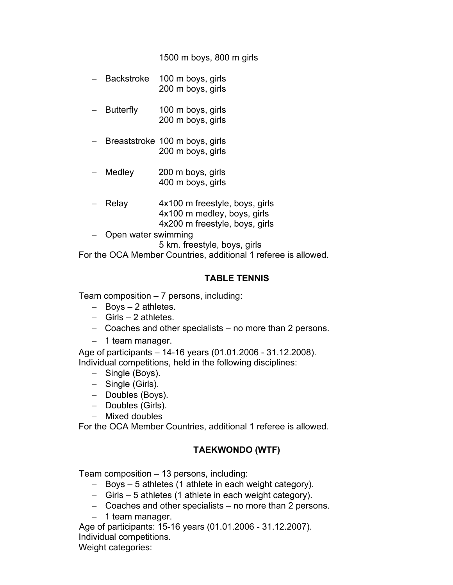1500 m boys, 800 m girls

- − Backstroke 100 m boys, girls 200 m boys, girls
- Butterfly 100 m boys, girls 200 m boys, girls
- Breaststroke 100 m boys, girls 200 m boys, girls
- − Medley 200 m boys, girls 400 m boys, girls
- Relay 4x100 m freestyle, boys, girls 4x100 m medley, boys, girls 4x200 m freestyle, boys, girls
- − Open water swimming

5 km. freestyle, boys, girls

For the OCA Member Countries, additional 1 referee is allowed.

#### **TABLE TENNIS**

Team composition – 7 persons, including:

- − Boys 2 athletes.
- − Girls 2 athletes.
- − Coaches and other specialists no more than 2 persons.
- − 1 team manager.

Age of participants – 14-16 years (01.01.2006 - 31.12.2008). Individual competitions, held in the following disciplines:

- − Single (Boys).
- − Single (Girls).
- − Doubles (Boys).
- − Doubles (Girls).
- − Mixed doubles

For the OCA Member Countries, additional 1 referee is allowed.

### **TAEKWONDO (WTF)**

Team composition – 13 persons, including:

- − Boys 5 athletes (1 athlete in each weight category).
- − Girls 5 athletes (1 athlete in each weight category).
- − Coaches and other specialists no more than 2 persons.
- − 1 team manager.

Age of participants: 15-16 years (01.01.2006 - 31.12.2007). Individual competitions.

Weight categories: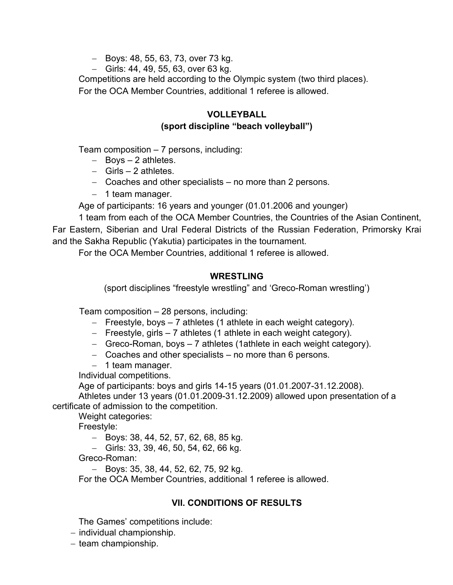- − Boys: 48, 55, 63, 73, over 73 kg.
- − Girls: 44, 49, 55, 63, over 63 kg.

Competitions are held according to the Olympic system (two third places). For the OCA Member Countries, additional 1 referee is allowed.

### **VOLLEYBALL (sport discipline "beach volleyball")**

Team composition – 7 persons, including:

- − Boys 2 athletes.
- − Girls 2 athletes.
- − Coaches and other specialists no more than 2 persons.
- − 1 team manager.

Age of participants: 16 years and younger (01.01.2006 and younger)

1 team from each of the OCA Member Countries, the Countries of the Asian Continent, Far Eastern, Siberian and Ural Federal Districts of the Russian Federation, Primorsky Krai and the Sakha Republic (Yakutia) participates in the tournament.

For the OCA Member Countries, additional 1 referee is allowed.

#### **WRESTLING**

(sport disciplines "freestyle wrestling" and 'Greco-Roman wrestling')

Team composition – 28 persons, including:

- − Freestyle, boys 7 athletes (1 athlete in each weight category).
- − Freestyle, girls 7 athletes (1 athlete in each weight category).
- − Greco-Roman, boys 7 athletes (1athlete in each weight category).
- − Coaches and other specialists no more than 6 persons.
- − 1 team manager.

Individual competitions.

Age of participants: boys and girls 14-15 years (01.01.2007-31.12.2008).

Athletes under 13 years (01.01.2009-31.12.2009) allowed upon presentation of a certificate of admission to the competition.

Weight categories:

Freestyle:

- − Boys: 38, 44, 52, 57, 62, 68, 85 kg.
- − Girls: 33, 39, 46, 50, 54, 62, 66 kg.

Greco-Roman:

− Boys: 35, 38, 44, 52, 62, 75, 92 kg.

For the OCA Member Countries, additional 1 referee is allowed.

### **VII. CONDITIONS OF RESULTS**

The Games' competitions include:

- − individual championship.
- − team championship.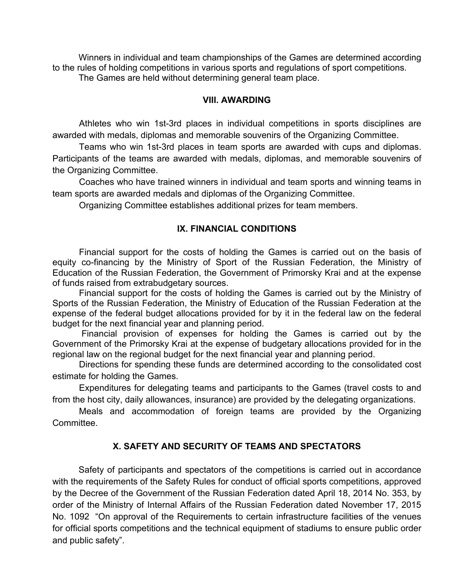Winners in individual and team championships of the Games are determined according to the rules of holding competitions in various sports and regulations of sport competitions. The Games are held without determining general team place.

#### **VIII. AWARDING**

Athletes who win 1st-3rd places in individual competitions in sports disciplines are awarded with medals, diplomas and memorable souvenirs of the Organizing Committee.

Teams who win 1st-3rd places in team sports are awarded with cups and diplomas. Participants of the teams are awarded with medals, diplomas, and memorable souvenirs of the Organizing Committee.

Coaches who have trained winners in individual and team sports and winning teams in team sports are awarded medals and diplomas of the Organizing Committee.

Organizing Committee establishes additional prizes for team members.

#### **IX. FINANCIAL CONDITIONS**

Financial support for the costs of holding the Games is carried out on the basis of equity co-financing by the Ministry of Sport of the Russian Federation, the Ministry of Education of the Russian Federation, the Government of Primorsky Krai and at the expense of funds raised from extrabudgetary sources.

Financial support for the costs of holding the Games is carried out by the Ministry of Sports of the Russian Federation, the Ministry of Education of the Russian Federation at the expense of the federal budget allocations provided for by it in the federal law on the federal budget for the next financial year and planning period.

Financial provision of expenses for holding the Games is carried out by the Government of the Primorsky Krai at the expense of budgetary allocations provided for in the regional law on the regional budget for the next financial year and planning period.

Directions for spending these funds are determined according to the consolidated cost estimate for holding the Games.

Expenditures for delegating teams and participants to the Games (travel costs to and from the host city, daily allowances, insurance) are provided by the delegating organizations.

Meals and accommodation of foreign teams are provided by the Organizing Committee.

#### **X. SAFETY AND SECURITY OF TEAMS AND SPECTATORS**

Safety of participants and spectators of the competitions is carried out in accordance with the requirements of the Safety Rules for conduct of official sports competitions, approved by the Decree of the Government of the Russian Federation dated April 18, 2014 No. 353, by order of the Ministry of Internal Affairs of the Russian Federation dated November 17, 2015 No. 1092 "On approval of the Requirements to certain infrastructure facilities of the venues for official sports competitions and the technical equipment of stadiums to ensure public order and public safety".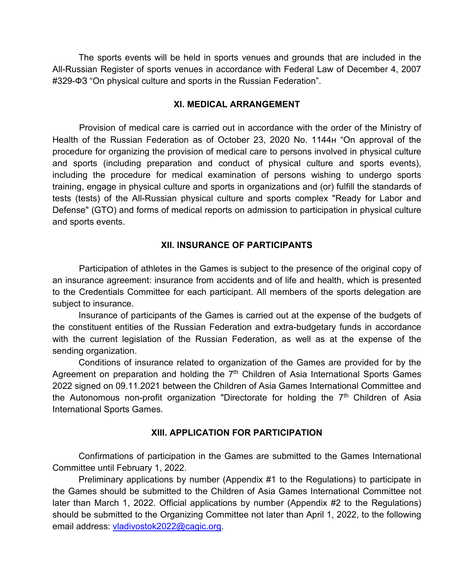The sports events will be held in sports venues and grounds that are included in the All-Russian Register of sports venues in accordance with Federal Law of December 4, 2007 #329-ФЗ "On physical culture and sports in the Russian Federation".

#### **XI. MEDICAL ARRANGEMENT**

Provision of medical care is carried out in accordance with the order of the Ministry of Health of the Russian Federation as of October 23, 2020 No. 1144н "On approval of the procedure for organizing the provision of medical care to persons involved in physical culture and sports (including preparation and conduct of physical culture and sports events), including the procedure for medical examination of persons wishing to undergo sports training, engage in physical culture and sports in organizations and (or) fulfill the standards of tests (tests) of the All-Russian physical culture and sports complex "Ready for Labor and Defense" (GTO) and forms of medical reports on admission to participation in physical culture and sports events.

### **XII. INSURANCE OF PARTICIPANTS**

Participation of athletes in the Games is subject to the presence of the original copy of an insurance agreement: insurance from accidents and of life and health, which is presented to the Credentials Committee for each participant. All members of the sports delegation are subject to insurance.

Insurance of participants of the Games is carried out at the expense of the budgets of the constituent entities of the Russian Federation and extra-budgetary funds in accordance with the current legislation of the Russian Federation, as well as at the expense of the sending organization.

Conditions of insurance related to organization of the Games are provided for by the Agreement on preparation and holding the 7<sup>th</sup> Children of Asia International Sports Games 2022 signed on 09.11.2021 between the Children of Asia Games International Committee and the Autonomous non-profit organization "Directorate for holding the  $7<sup>th</sup>$  Children of Asia International Sports Games.

### **XIII. APPLICATION FOR PARTICIPATION**

Confirmations of participation in the Games are submitted to the Games International Committee until February 1, 2022.

Preliminary applications by number (Appendix #1 to the Regulations) to participate in the Games should be submitted to the Children of Asia Games International Committee not later than March 1, 2022. Official applications by number (Appendix #2 to the Regulations) should be submitted to the Organizing Committee not later than April 1, 2022, to the following email address: [vladivostok2022@cagic.org.](mailto:vladivostok2022@cagic.org)